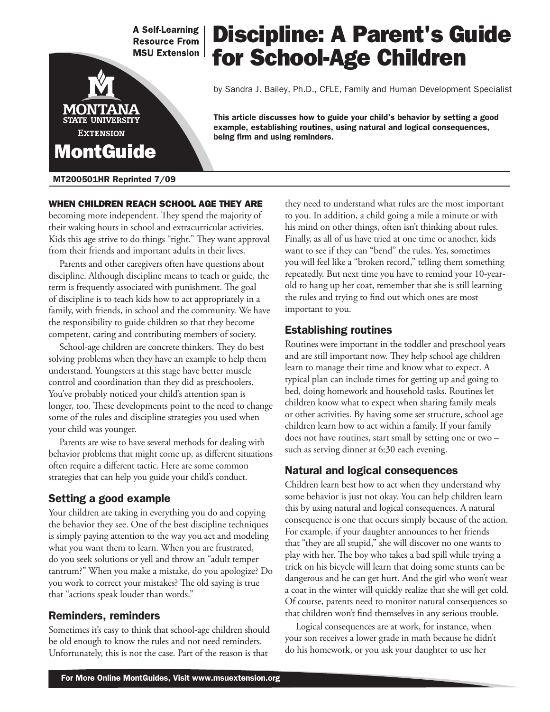**A Self-Learning Resource From MSU Extension** 

# MONT **STATE UNIVERSITY EXTENSION MontGuide**

#### MT200501HR Reprinted 7/09

#### When children reach school age they are

becoming more independent. They spend the majority of their waking hours in school and extracurricular activities. Kids this age strive to do things "right." They want approval from their friends and important adults in their lives.

Parents and other caregivers often have questions about discipline. Although discipline means to teach or guide, the term is frequently associated with punishment. The goal of discipline is to teach kids how to act appropriately in a family, with friends, in school and the community. We have the responsibility to guide children so that they become competent, caring and contributing members of society.

School-age children are concrete thinkers. They do best solving problems when they have an example to help them understand. Youngsters at this stage have better muscle control and coordination than they did as preschoolers. You've probably noticed your child's attention span is longer, too. These developments point to the need to change some of the rules and discipline strategies you used when your child was younger.

Parents are wise to have several methods for dealing with behavior problems that might come up, as different situations often require a different tactic. Here are some common strategies that can help you guide your child's conduct.

#### Setting a good example

Your children are taking in everything you do and copying the behavior they see. One of the best discipline techniques is simply paying attention to the way you act and modeling what you want them to learn. When you are frustrated, do you seek solutions or yell and throw an "adult temper tantrum?" When you make a mistake, do you apologize? Do you work to correct your mistakes? The old saying is true that "actions speak louder than words."

#### Reminders, reminders

Sometimes it's easy to think that school-age children should be old enough to know the rules and not need reminders. Unfortunately, this is not the case. Part of the reason is that

#### they need to understand what rules are the most important to you. In addition, a child going a mile a minute or with his mind on other things, often isn't thinking about rules. Finally, as all of us have tried at one time or another, kids want to see if they can "bend" the rules. Yes, sometimes you will feel like a "broken record," telling them something repeatedly. But next time you have to remind your 10-yearold to hang up her coat, remember that she is still learning the rules and trying to find out which ones are most important to you.

#### Establishing routines

Routines were important in the toddler and preschool years and are still important now. They help school age children learn to manage their time and know what to expect. A typical plan can include times for getting up and going to bed, doing homework and household tasks. Routines let children know what to expect when sharing family meals or other activities. By having some set structure, school age children learn how to act within a family. If your family does not have routines, start small by setting one or two – such as serving dinner at 6:30 each evening.

## Natural and logical consequences

Children learn best how to act when they understand why some behavior is just not okay. You can help children learn this by using natural and logical consequences. A natural consequence is one that occurs simply because of the action. For example, if your daughter announces to her friends that "they are all stupid," she will discover no one wants to play with her. The boy who takes a bad spill while trying a trick on his bicycle will learn that doing some stunts can be dangerous and he can get hurt. And the girl who won't wear a coat in the winter will quickly realize that she will get cold. Of course, parents need to monitor natural consequences so that children won't find themselves in any serious trouble.

Logical consequences are at work, for instance, when your son receives a lower grade in math because he didn't do his homework, or you ask your daughter to use her

## Discipline: A Parent's Guide for School-Age Children

by Sandra J. Bailey, Ph.D., CFLE, Family and Human Development Specialist

This article discusses how to guide your child's behavior by setting a good example, establishing routines, using natural and logical consequences, being firm and using reminders.